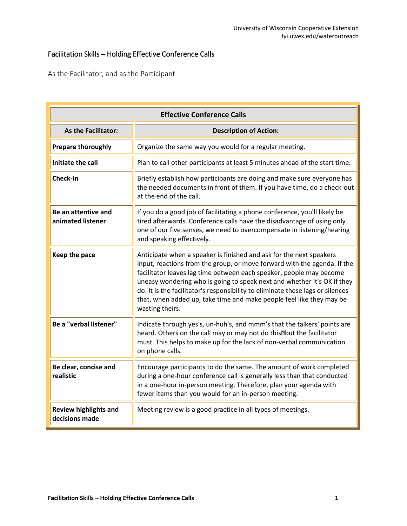## Facilitation Skills – Holding Effective Conference Calls

As the Facilitator, and as the Participant

| <b>Effective Conference Calls</b>              |                                                                                                                                                                                                                                                                                                                                                                                                                                                                                |
|------------------------------------------------|--------------------------------------------------------------------------------------------------------------------------------------------------------------------------------------------------------------------------------------------------------------------------------------------------------------------------------------------------------------------------------------------------------------------------------------------------------------------------------|
| <b>As the Facilitator:</b>                     | <b>Description of Action:</b>                                                                                                                                                                                                                                                                                                                                                                                                                                                  |
| <b>Prepare thoroughly</b>                      | Organize the same way you would for a regular meeting.                                                                                                                                                                                                                                                                                                                                                                                                                         |
| Initiate the call                              | Plan to call other participants at least 5 minutes ahead of the start time.                                                                                                                                                                                                                                                                                                                                                                                                    |
| Check-in                                       | Briefly establish how participants are doing and make sure everyone has<br>the needed documents in front of them. If you have time, do a check-out<br>at the end of the call.                                                                                                                                                                                                                                                                                                  |
| Be an attentive and<br>animated listener       | If you do a good job of facilitating a phone conference, you'll likely be<br>tired afterwards. Conference calls have the disadvantage of using only<br>one of our five senses, we need to overcompensate in listening/hearing<br>and speaking effectively.                                                                                                                                                                                                                     |
| Keep the pace                                  | Anticipate when a speaker is finished and ask for the next speakers<br>input, reactions from the group, or move forward with the agenda. If the<br>facilitator leaves lag time between each speaker, people may become<br>uneasy wondering who is going to speak next and whether it's OK if they<br>do. It is the facilitator's responsibility to eliminate these lags or silences<br>that, when added up, take time and make people feel like they may be<br>wasting theirs. |
| <b>Be a "verbal listener"</b>                  | Indicate through yes's, un-huh's, and mmm's that the talkers' points are<br>heard. Others on the call may or may not do this. but the facilitator<br>must. This helps to make up for the lack of non-verbal communication<br>on phone calls.                                                                                                                                                                                                                                   |
| Be clear, concise and<br>realistic             | Encourage participants to do the same. The amount of work completed<br>during a one-hour conference call is generally less than that conducted<br>in a one-hour in-person meeting. Therefore, plan your agenda with<br>fewer items than you would for an in-person meeting.                                                                                                                                                                                                    |
| <b>Review highlights and</b><br>decisions made | Meeting review is a good practice in all types of meetings.                                                                                                                                                                                                                                                                                                                                                                                                                    |